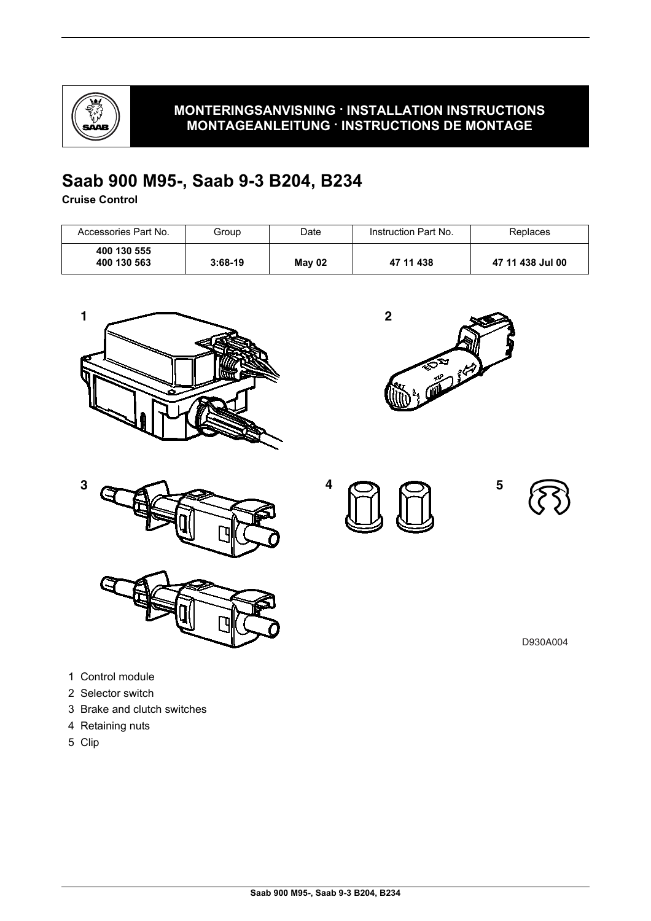

## **MONTERINGSANVISNING · INSTALLATION INSTRUCTIONS MONTAGEANLEITUNG · INSTRUCTIONS DE MONTAGE**

## **Saab 900 M95-, Saab 9-3 B204, B234**

**Cruise Control**

| Accessories Part No.       | Group     | Date   | Instruction Part No. | Replaces         |
|----------------------------|-----------|--------|----------------------|------------------|
| 400 130 555<br>400 130 563 | $3:68-19$ | May 02 | 47 11 438            | 47 11 438 Jul 00 |









**5**

D930A004

- 1 Control module
- 2 Selector switch
- 3 Brake and clutch switches
- 4 Retaining nuts
- 5 Clip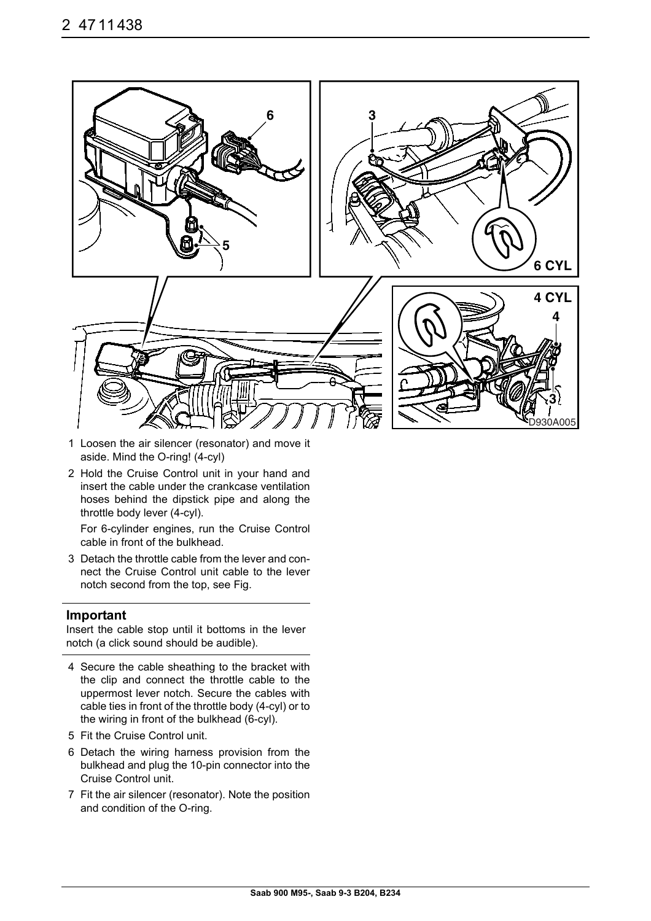

- 1 Loosen the air silencer (resonator) and move it aside. Mind the O-ring! (4-cyl)
- 2 Hold the Cruise Control unit in your hand and insert the cable under the crankcase ventilation hoses behind the dipstick pipe and along the throttle body lever (4-cyl).

For 6-cylinder engines, run the Cruise Control cable in front of the bulkhead.

3 Detach the throttle cable from the lever and connect the Cruise Control unit cable to the lever notch second from the top, see Fig.

## **Important**

Insert the cable stop until it bottoms in the lever notch (a click sound should be audible).

- 4 Secure the cable sheathing to the bracket with the clip and connect the throttle cable to the uppermost lever notch. Secure the cables with cable ties in front of the throttle body (4-cyl) or to the wiring in front of the bulkhead (6-cyl).
- 5 Fit the Cruise Control unit.
- 6 Detach the wiring harness provision from the bulkhead and plug the 10-pin connector into the Cruise Control unit.
- 7 Fit the air silencer (resonator). Note the position and condition of the O-ring.